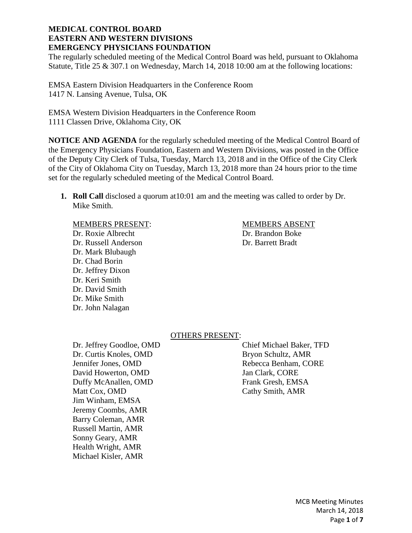The regularly scheduled meeting of the Medical Control Board was held, pursuant to Oklahoma Statute, Title 25 & 307.1 on Wednesday, March 14, 2018 10:00 am at the following locations:

EMSA Eastern Division Headquarters in the Conference Room 1417 N. Lansing Avenue, Tulsa, OK

EMSA Western Division Headquarters in the Conference Room 1111 Classen Drive, Oklahoma City, OK

**NOTICE AND AGENDA** for the regularly scheduled meeting of the Medical Control Board of the Emergency Physicians Foundation, Eastern and Western Divisions, was posted in the Office of the Deputy City Clerk of Tulsa, Tuesday, March 13, 2018 and in the Office of the City Clerk of the City of Oklahoma City on Tuesday, March 13, 2018 more than 24 hours prior to the time set for the regularly scheduled meeting of the Medical Control Board.

**1. Roll Call** disclosed a quorum at10:01 am and the meeting was called to order by Dr. Mike Smith.

#### MEMBERS PRESENT: MEMBERS ABSENT

Dr. Roxie Albrecht Dr. Brandon Boke Dr. Russell Anderson Dr. Barrett Bradt Dr. Mark Blubaugh Dr. Chad Borin Dr. Jeffrey Dixon Dr. Keri Smith Dr. David Smith Dr. Mike Smith Dr. John Nalagan

# OTHERS PRESENT:

Dr. Curtis Knoles, OMD Bryon Schultz, AMR Jennifer Jones, OMD Rebecca Benham, CORE David Howerton, OMD Jan Clark, CORE Duffy McAnallen, OMD Frank Gresh, EMSA Matt Cox, OMD Cathy Smith, AMR Jim Winham, EMSA Jeremy Coombs, AMR Barry Coleman, AMR Russell Martin, AMR Sonny Geary, AMR Health Wright, AMR Michael Kisler, AMR

Dr. Jeffrey Goodloe, OMD Chief Michael Baker, TFD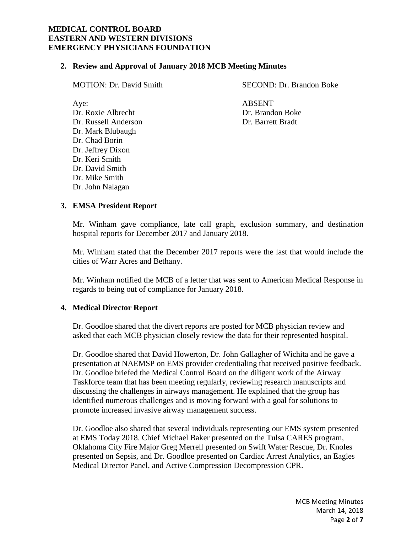### **2. Review and Approval of January 2018 MCB Meeting Minutes**

Dr. Roxie Albrecht Dr. Brandon Boke Dr. Russell Anderson Dr. Barrett Bradt Dr. Mark Blubaugh Dr. Chad Borin Dr. Jeffrey Dixon Dr. Keri Smith Dr. David Smith Dr. Mike Smith Dr. John Nalagan

MOTION: Dr. David Smith SECOND: Dr. Brandon Boke

Aye: ABSENT

# **3. EMSA President Report**

Mr. Winham gave compliance, late call graph, exclusion summary, and destination hospital reports for December 2017 and January 2018.

Mr. Winham stated that the December 2017 reports were the last that would include the cities of Warr Acres and Bethany.

Mr. Winham notified the MCB of a letter that was sent to American Medical Response in regards to being out of compliance for January 2018.

### **4. Medical Director Report**

Dr. Goodloe shared that the divert reports are posted for MCB physician review and asked that each MCB physician closely review the data for their represented hospital.

Dr. Goodloe shared that David Howerton, Dr. John Gallagher of Wichita and he gave a presentation at NAEMSP on EMS provider credentialing that received positive feedback. Dr. Goodloe briefed the Medical Control Board on the diligent work of the Airway Taskforce team that has been meeting regularly, reviewing research manuscripts and discussing the challenges in airways management. He explained that the group has identified numerous challenges and is moving forward with a goal for solutions to promote increased invasive airway management success.

Dr. Goodloe also shared that several individuals representing our EMS system presented at EMS Today 2018. Chief Michael Baker presented on the Tulsa CARES program, Oklahoma City Fire Major Greg Merrell presented on Swift Water Rescue, Dr. Knoles presented on Sepsis, and Dr. Goodloe presented on Cardiac Arrest Analytics, an Eagles Medical Director Panel, and Active Compression Decompression CPR.

> MCB Meeting Minutes March 14, 2018 Page **2** of **7**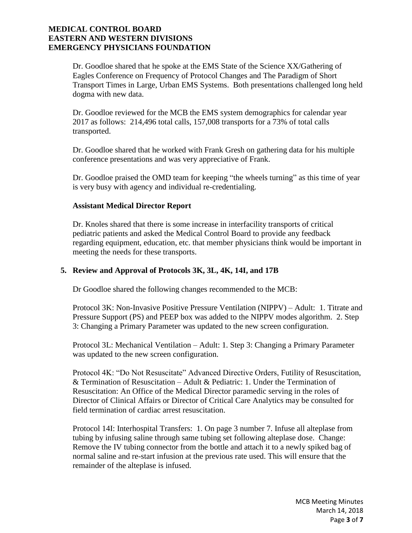Dr. Goodloe shared that he spoke at the EMS State of the Science XX/Gathering of Eagles Conference on Frequency of Protocol Changes and The Paradigm of Short Transport Times in Large, Urban EMS Systems. Both presentations challenged long held dogma with new data.

Dr. Goodloe reviewed for the MCB the EMS system demographics for calendar year 2017 as follows: 214,496 total calls, 157,008 transports for a 73% of total calls transported.

Dr. Goodloe shared that he worked with Frank Gresh on gathering data for his multiple conference presentations and was very appreciative of Frank.

Dr. Goodloe praised the OMD team for keeping "the wheels turning" as this time of year is very busy with agency and individual re-credentialing.

# **Assistant Medical Director Report**

Dr. Knoles shared that there is some increase in interfacility transports of critical pediatric patients and asked the Medical Control Board to provide any feedback regarding equipment, education, etc. that member physicians think would be important in meeting the needs for these transports.

# **5. Review and Approval of Protocols 3K, 3L, 4K, 14I, and 17B**

Dr Goodloe shared the following changes recommended to the MCB:

Protocol 3K: Non-Invasive Positive Pressure Ventilation (NIPPV) – Adult: 1. Titrate and Pressure Support (PS) and PEEP box was added to the NIPPV modes algorithm. 2. Step 3: Changing a Primary Parameter was updated to the new screen configuration.

Protocol 3L: Mechanical Ventilation – Adult: 1. Step 3: Changing a Primary Parameter was updated to the new screen configuration.

Protocol 4K: "Do Not Resuscitate" Advanced Directive Orders, Futility of Resuscitation, & Termination of Resuscitation – Adult & Pediatric: 1. Under the Termination of Resuscitation: An Office of the Medical Director paramedic serving in the roles of Director of Clinical Affairs or Director of Critical Care Analytics may be consulted for field termination of cardiac arrest resuscitation.

Protocol 14I: Interhospital Transfers: 1. On page 3 number 7. Infuse all alteplase from tubing by infusing saline through same tubing set following alteplase dose. Change: Remove the IV tubing connector from the bottle and attach it to a newly spiked bag of normal saline and re-start infusion at the previous rate used. This will ensure that the remainder of the alteplase is infused.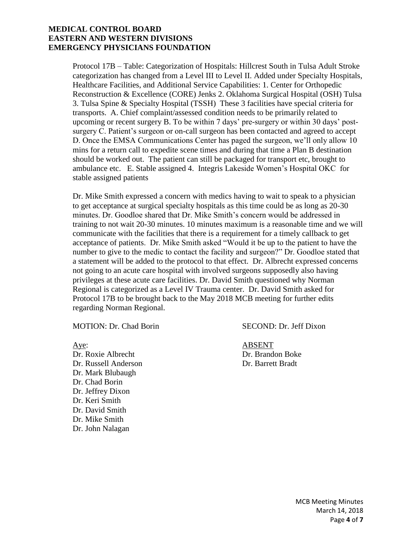Protocol 17B – Table: Categorization of Hospitals: Hillcrest South in Tulsa Adult Stroke categorization has changed from a Level III to Level II. Added under Specialty Hospitals, Healthcare Facilities, and Additional Service Capabilities: 1. Center for Orthopedic Reconstruction & Excellence (CORE) Jenks 2. Oklahoma Surgical Hospital (OSH) Tulsa 3. Tulsa Spine & Specialty Hospital (TSSH) These 3 facilities have special criteria for transports. A. Chief complaint/assessed condition needs to be primarily related to upcoming or recent surgery B. To be within 7 days' pre-surgery or within 30 days' postsurgery C. Patient's surgeon or on-call surgeon has been contacted and agreed to accept D. Once the EMSA Communications Center has paged the surgeon, we'll only allow 10 mins for a return call to expedite scene times and during that time a Plan B destination should be worked out. The patient can still be packaged for transport etc, brought to ambulance etc. E. Stable assigned 4. Integris Lakeside Women's Hospital OKC for stable assigned patients

Dr. Mike Smith expressed a concern with medics having to wait to speak to a physician to get acceptance at surgical specialty hospitals as this time could be as long as 20-30 minutes. Dr. Goodloe shared that Dr. Mike Smith's concern would be addressed in training to not wait 20-30 minutes. 10 minutes maximum is a reasonable time and we will communicate with the facilities that there is a requirement for a timely callback to get acceptance of patients. Dr. Mike Smith asked "Would it be up to the patient to have the number to give to the medic to contact the facility and surgeon?" Dr. Goodloe stated that a statement will be added to the protocol to that effect. Dr. Albrecht expressed concerns not going to an acute care hospital with involved surgeons supposedly also having privileges at these acute care facilities. Dr. David Smith questioned why Norman Regional is categorized as a Level IV Trauma center. Dr. David Smith asked for Protocol 17B to be brought back to the May 2018 MCB meeting for further edits regarding Norman Regional.

Aye: ABSENT Dr. Roxie Albrecht Dr. Brandon Boke Dr. Russell Anderson Dr. Barrett Bradt Dr. Mark Blubaugh Dr. Chad Borin Dr. Jeffrey Dixon Dr. Keri Smith Dr. David Smith Dr. Mike Smith Dr. John Nalagan

MOTION: Dr. Chad Borin SECOND: Dr. Jeff Dixon

MCB Meeting Minutes March 14, 2018 Page **4** of **7**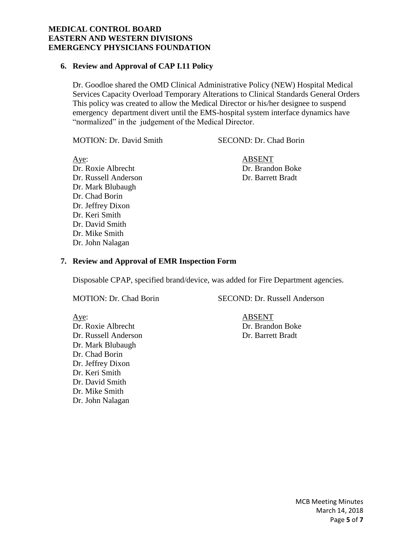# **6. Review and Approval of CAP I.11 Policy**

Dr. Goodloe shared the OMD Clinical Administrative Policy (NEW) Hospital Medical Services Capacity Overload Temporary Alterations to Clinical Standards General Orders This policy was created to allow the Medical Director or his/her designee to suspend emergency department divert until the EMS-hospital system interface dynamics have "normalized" in the judgement of the Medical Director.

MOTION: Dr. David Smith SECOND: Dr. Chad Borin

Aye: ABSENT Dr. Roxie Albrecht Dr. Brandon Boke Dr. Russell Anderson Dr. Barrett Bradt Dr. Mark Blubaugh Dr. Chad Borin Dr. Jeffrey Dixon Dr. Keri Smith Dr. David Smith Dr. Mike Smith Dr. John Nalagan

#### **7. Review and Approval of EMR Inspection Form**

Disposable CPAP, specified brand/device, was added for Fire Department agencies.

MOTION: Dr. Chad Borin SECOND: Dr. Russell Anderson

Aye: ABSENT Dr. Roxie Albrecht Dr. Brandon Boke Dr. Russell Anderson Dr. Barrett Bradt Dr. Mark Blubaugh Dr. Chad Borin Dr. Jeffrey Dixon Dr. Keri Smith Dr. David Smith Dr. Mike Smith Dr. John Nalagan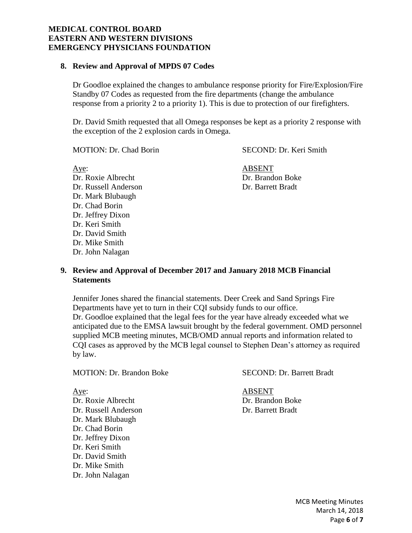### **8. Review and Approval of MPDS 07 Codes**

Dr Goodloe explained the changes to ambulance response priority for Fire/Explosion/Fire Standby 07 Codes as requested from the fire departments (change the ambulance response from a priority 2 to a priority 1). This is due to protection of our firefighters.

Dr. David Smith requested that all Omega responses be kept as a priority 2 response with the exception of the 2 explosion cards in Omega.

MOTION: Dr. Chad Borin SECOND: Dr. Keri Smith

Aye: ABSENT Dr. Roxie Albrecht Dr. Brandon Boke Dr. Russell Anderson Dr. Barrett Bradt Dr. Mark Blubaugh Dr. Chad Borin Dr. Jeffrey Dixon Dr. Keri Smith Dr. David Smith Dr. Mike Smith Dr. John Nalagan

# **9. Review and Approval of December 2017 and January 2018 MCB Financial Statements**

Jennifer Jones shared the financial statements. Deer Creek and Sand Springs Fire Departments have yet to turn in their CQI subsidy funds to our office. Dr. Goodloe explained that the legal fees for the year have already exceeded what we anticipated due to the EMSA lawsuit brought by the federal government. OMD personnel supplied MCB meeting minutes, MCB/OMD annual reports and information related to CQI cases as approved by the MCB legal counsel to Stephen Dean's attorney as required by law.

#### MOTION: Dr. Brandon Boke SECOND: Dr. Barrett Bradt

Dr. Roxie Albrecht Dr. Brandon Boke Dr. Russell Anderson Dr. Barrett Bradt Dr. Mark Blubaugh Dr. Chad Borin Dr. Jeffrey Dixon Dr. Keri Smith Dr. David Smith Dr. Mike Smith Dr. John Nalagan

Aye: ABSENT